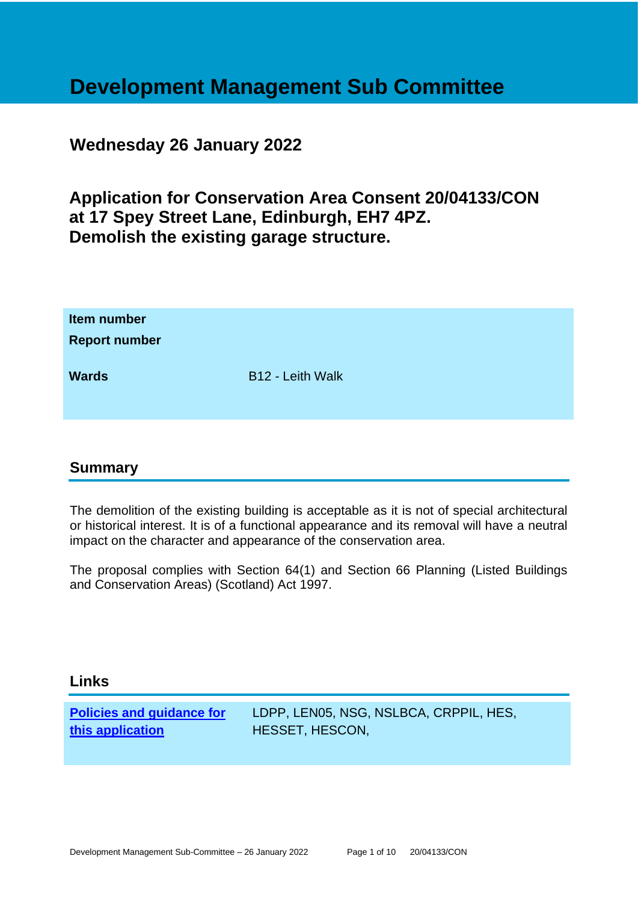# **Development Management Sub Committee**

# **Wednesday 26 January 2022**

**Application for Conservation Area Consent 20/04133/CON at 17 Spey Street Lane, Edinburgh, EH7 4PZ. Demolish the existing garage structure.**

| Item number<br><b>Report number</b> |                  |
|-------------------------------------|------------------|
| <b>Wards</b>                        | B12 - Leith Walk |

#### **Summary**

The demolition of the existing building is acceptable as it is not of special architectural or historical interest. It is of a functional appearance and its removal will have a neutral impact on the character and appearance of the conservation area.

The proposal complies with Section 64(1) and Section 66 Planning (Listed Buildings and Conservation Areas) (Scotland) Act 1997.

## **Links**

**[Policies and guidance for](file:///C:/uniform/temp/uf04148.rtf%23Policies)  [this application](file:///C:/uniform/temp/uf04148.rtf%23Policies)**

LDPP, LEN05, NSG, NSLBCA, CRPPIL, HES, HESSET, HESCON,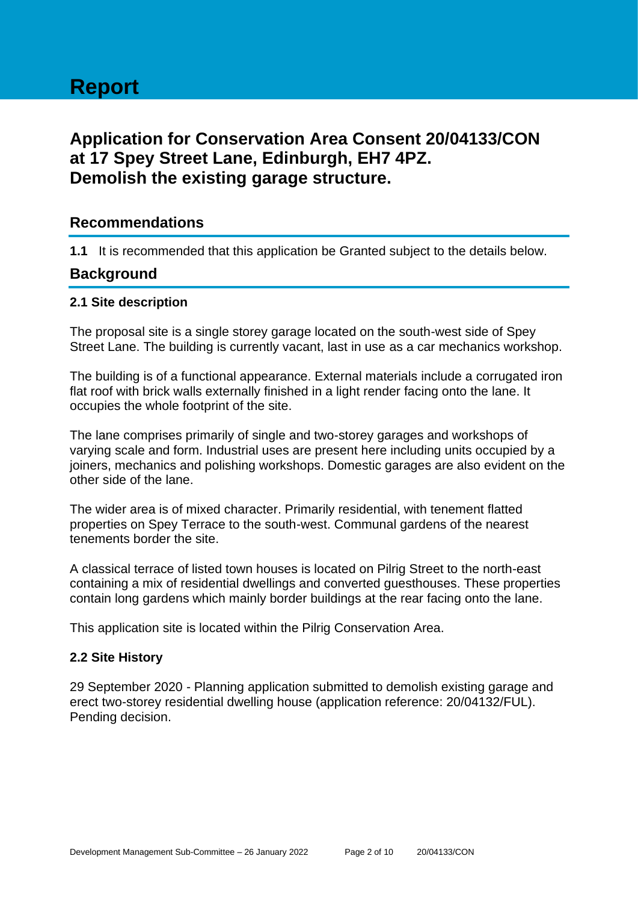# **Application for Conservation Area Consent 20/04133/CON at 17 Spey Street Lane, Edinburgh, EH7 4PZ. Demolish the existing garage structure.**

# **Recommendations**

**1.1** It is recommended that this application be Granted subject to the details below.

# **Background**

#### **2.1 Site description**

The proposal site is a single storey garage located on the south-west side of Spey Street Lane. The building is currently vacant, last in use as a car mechanics workshop.

The building is of a functional appearance. External materials include a corrugated iron flat roof with brick walls externally finished in a light render facing onto the lane. It occupies the whole footprint of the site.

The lane comprises primarily of single and two-storey garages and workshops of varying scale and form. Industrial uses are present here including units occupied by a joiners, mechanics and polishing workshops. Domestic garages are also evident on the other side of the lane.

The wider area is of mixed character. Primarily residential, with tenement flatted properties on Spey Terrace to the south-west. Communal gardens of the nearest tenements border the site.

A classical terrace of listed town houses is located on Pilrig Street to the north-east containing a mix of residential dwellings and converted guesthouses. These properties contain long gardens which mainly border buildings at the rear facing onto the lane.

This application site is located within the Pilrig Conservation Area.

#### **2.2 Site History**

29 September 2020 - Planning application submitted to demolish existing garage and erect two-storey residential dwelling house (application reference: 20/04132/FUL). Pending decision.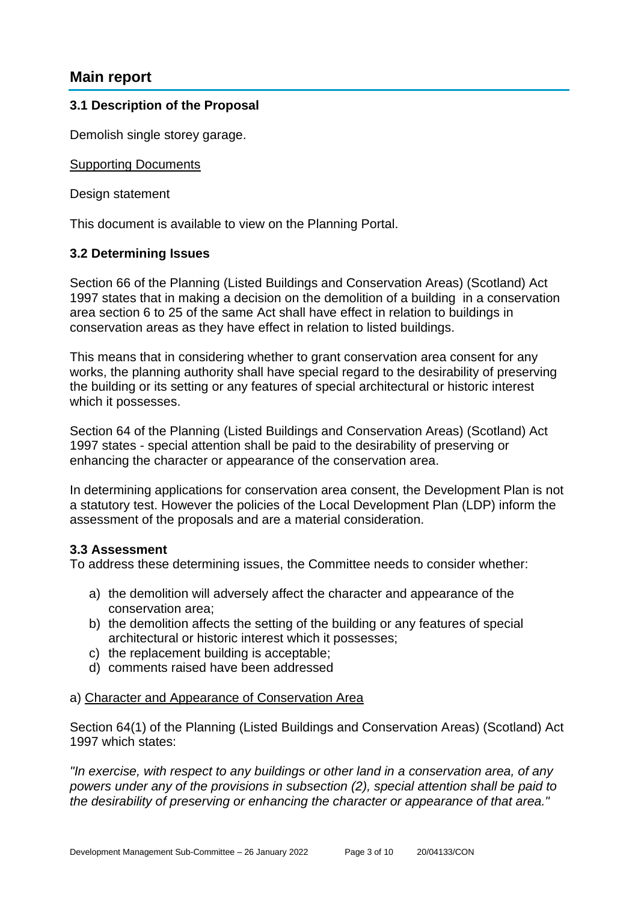# **Main report**

#### **3.1 Description of the Proposal**

Demolish single storey garage.

Supporting Documents

Design statement

This document is available to view on the Planning Portal.

#### **3.2 Determining Issues**

Section 66 of the Planning (Listed Buildings and Conservation Areas) (Scotland) Act 1997 states that in making a decision on the demolition of a building in a conservation area section 6 to 25 of the same Act shall have effect in relation to buildings in conservation areas as they have effect in relation to listed buildings.

This means that in considering whether to grant conservation area consent for any works, the planning authority shall have special regard to the desirability of preserving the building or its setting or any features of special architectural or historic interest which it possesses.

Section 64 of the Planning (Listed Buildings and Conservation Areas) (Scotland) Act 1997 states - special attention shall be paid to the desirability of preserving or enhancing the character or appearance of the conservation area.

In determining applications for conservation area consent, the Development Plan is not a statutory test. However the policies of the Local Development Plan (LDP) inform the assessment of the proposals and are a material consideration.

#### **3.3 Assessment**

To address these determining issues, the Committee needs to consider whether:

- a) the demolition will adversely affect the character and appearance of the conservation area;
- b) the demolition affects the setting of the building or any features of special architectural or historic interest which it possesses;
- c) the replacement building is acceptable;
- d) comments raised have been addressed

#### a) Character and Appearance of Conservation Area

Section 64(1) of the Planning (Listed Buildings and Conservation Areas) (Scotland) Act 1997 which states:

*"In exercise, with respect to any buildings or other land in a conservation area, of any powers under any of the provisions in subsection (2), special attention shall be paid to the desirability of preserving or enhancing the character or appearance of that area."*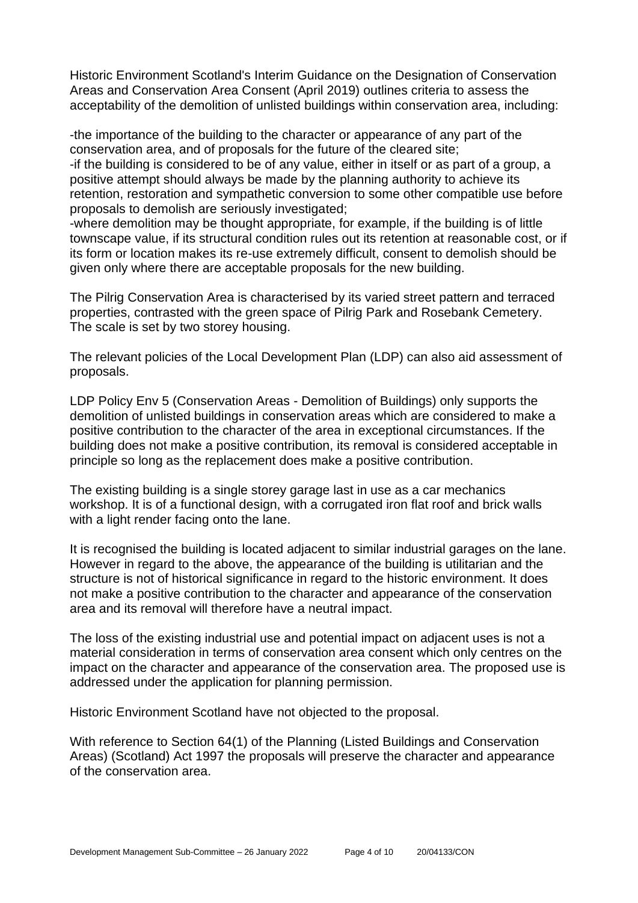Historic Environment Scotland's Interim Guidance on the Designation of Conservation Areas and Conservation Area Consent (April 2019) outlines criteria to assess the acceptability of the demolition of unlisted buildings within conservation area, including:

-the importance of the building to the character or appearance of any part of the conservation area, and of proposals for the future of the cleared site; -if the building is considered to be of any value, either in itself or as part of a group, a positive attempt should always be made by the planning authority to achieve its retention, restoration and sympathetic conversion to some other compatible use before proposals to demolish are seriously investigated;

-where demolition may be thought appropriate, for example, if the building is of little townscape value, if its structural condition rules out its retention at reasonable cost, or if its form or location makes its re-use extremely difficult, consent to demolish should be given only where there are acceptable proposals for the new building.

The Pilrig Conservation Area is characterised by its varied street pattern and terraced properties, contrasted with the green space of Pilrig Park and Rosebank Cemetery. The scale is set by two storey housing.

The relevant policies of the Local Development Plan (LDP) can also aid assessment of proposals.

LDP Policy Env 5 (Conservation Areas - Demolition of Buildings) only supports the demolition of unlisted buildings in conservation areas which are considered to make a positive contribution to the character of the area in exceptional circumstances. If the building does not make a positive contribution, its removal is considered acceptable in principle so long as the replacement does make a positive contribution.

The existing building is a single storey garage last in use as a car mechanics workshop. It is of a functional design, with a corrugated iron flat roof and brick walls with a light render facing onto the lane.

It is recognised the building is located adjacent to similar industrial garages on the lane. However in regard to the above, the appearance of the building is utilitarian and the structure is not of historical significance in regard to the historic environment. It does not make a positive contribution to the character and appearance of the conservation area and its removal will therefore have a neutral impact.

The loss of the existing industrial use and potential impact on adjacent uses is not a material consideration in terms of conservation area consent which only centres on the impact on the character and appearance of the conservation area. The proposed use is addressed under the application for planning permission.

Historic Environment Scotland have not objected to the proposal.

With reference to Section 64(1) of the Planning (Listed Buildings and Conservation Areas) (Scotland) Act 1997 the proposals will preserve the character and appearance of the conservation area.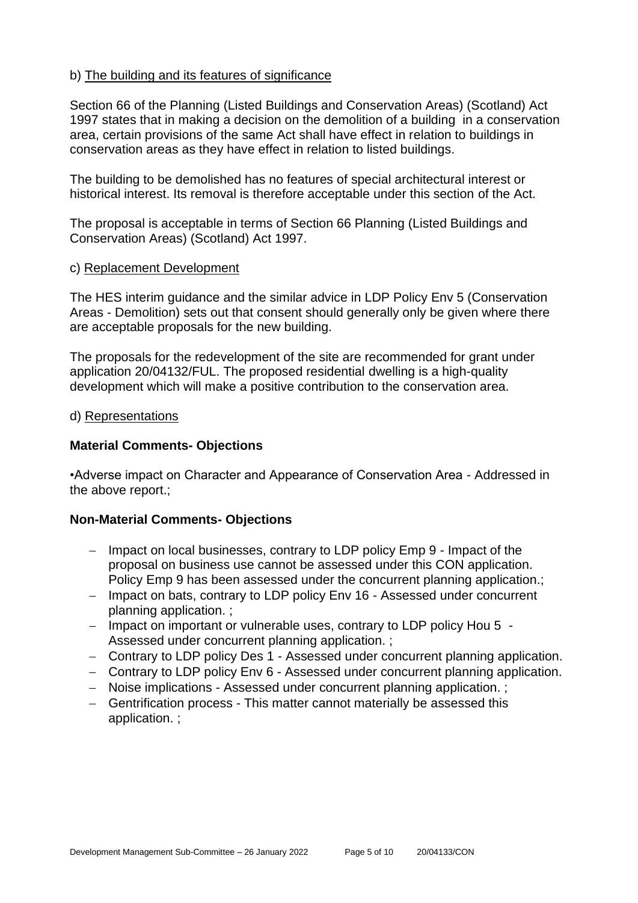#### b) The building and its features of significance

Section 66 of the Planning (Listed Buildings and Conservation Areas) (Scotland) Act 1997 states that in making a decision on the demolition of a building in a conservation area, certain provisions of the same Act shall have effect in relation to buildings in conservation areas as they have effect in relation to listed buildings.

The building to be demolished has no features of special architectural interest or historical interest. Its removal is therefore acceptable under this section of the Act.

The proposal is acceptable in terms of Section 66 Planning (Listed Buildings and Conservation Areas) (Scotland) Act 1997.

#### c) Replacement Development

The HES interim guidance and the similar advice in LDP Policy Env 5 (Conservation Areas - Demolition) sets out that consent should generally only be given where there are acceptable proposals for the new building.

The proposals for the redevelopment of the site are recommended for grant under application 20/04132/FUL. The proposed residential dwelling is a high-quality development which will make a positive contribution to the conservation area.

#### d) Representations

#### **Material Comments- Objections**

•Adverse impact on Character and Appearance of Conservation Area - Addressed in the above report.;

#### **Non-Material Comments- Objections**

- − Impact on local businesses, contrary to LDP policy Emp 9 Impact of the proposal on business use cannot be assessed under this CON application. Policy Emp 9 has been assessed under the concurrent planning application.;
- − Impact on bats, contrary to LDP policy Env 16 Assessed under concurrent planning application. ;
- − Impact on important or vulnerable uses, contrary to LDP policy Hou 5 Assessed under concurrent planning application. ;
- − Contrary to LDP policy Des 1 Assessed under concurrent planning application.
- − Contrary to LDP policy Env 6 Assessed under concurrent planning application.
- − Noise implications Assessed under concurrent planning application. ;
- − Gentrification process This matter cannot materially be assessed this application. ;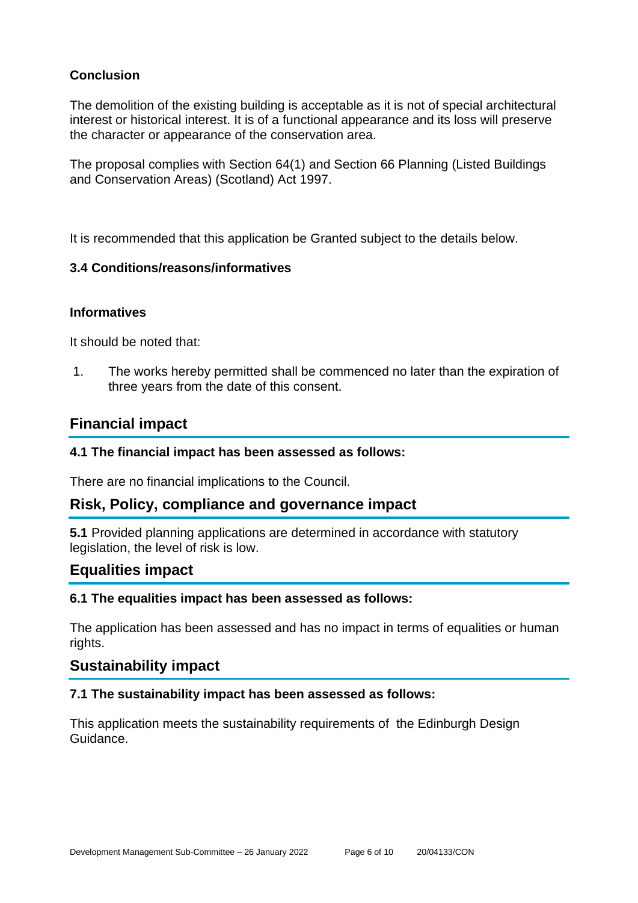# **Conclusion**

The demolition of the existing building is acceptable as it is not of special architectural interest or historical interest. It is of a functional appearance and its loss will preserve the character or appearance of the conservation area.

The proposal complies with Section 64(1) and Section 66 Planning (Listed Buildings and Conservation Areas) (Scotland) Act 1997.

It is recommended that this application be Granted subject to the details below.

#### **3.4 Conditions/reasons/informatives**

#### **Informatives**

It should be noted that:

1. The works hereby permitted shall be commenced no later than the expiration of three years from the date of this consent.

# **Financial impact**

#### **4.1 The financial impact has been assessed as follows:**

There are no financial implications to the Council.

## **Risk, Policy, compliance and governance impact**

**5.1** Provided planning applications are determined in accordance with statutory legislation, the level of risk is low.

## **Equalities impact**

#### **6.1 The equalities impact has been assessed as follows:**

The application has been assessed and has no impact in terms of equalities or human rights.

## **Sustainability impact**

#### **7.1 The sustainability impact has been assessed as follows:**

This application meets the sustainability requirements of the Edinburgh Design Guidance.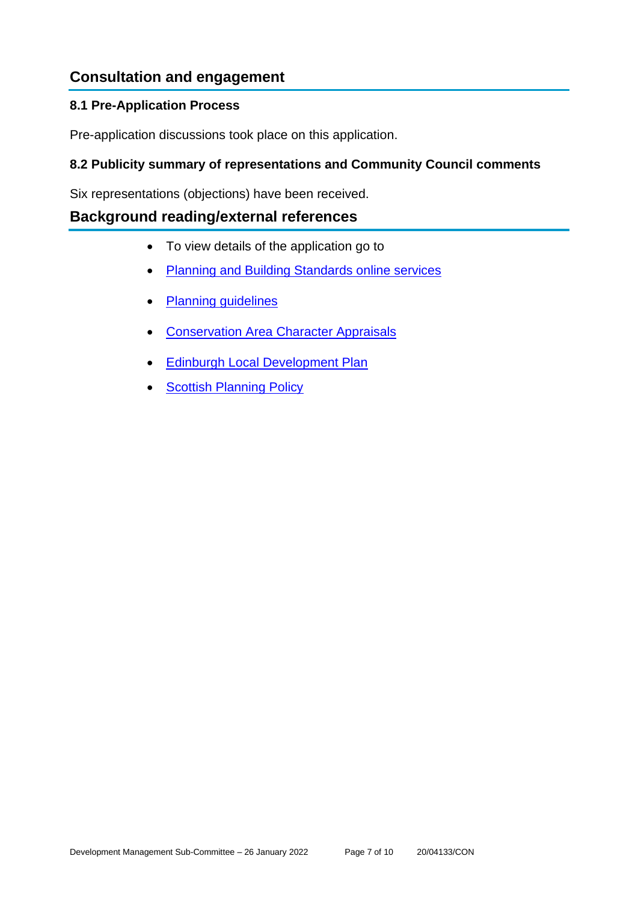# **Consultation and engagement**

## **8.1 Pre-Application Process**

Pre-application discussions took place on this application.

# **8.2 Publicity summary of representations and Community Council comments**

Six representations (objections) have been received.

# **Background reading/external references**

- To view details of the application go to
- [Planning and Building Standards online services](https://citydev-portal.edinburgh.gov.uk/idoxpa-web/search.do?action=simple&searchType=Application)
- [Planning guidelines](http://www.edinburgh.gov.uk/planningguidelines)
- [Conservation Area Character Appraisals](http://www.edinburgh.gov.uk/characterappraisals)
- [Edinburgh Local Development Plan](http://www.edinburgh.gov.uk/localdevelopmentplan)
- **[Scottish Planning Policy](http://www.scotland.gov.uk/Topics/Built-Environment/planning/Policy)**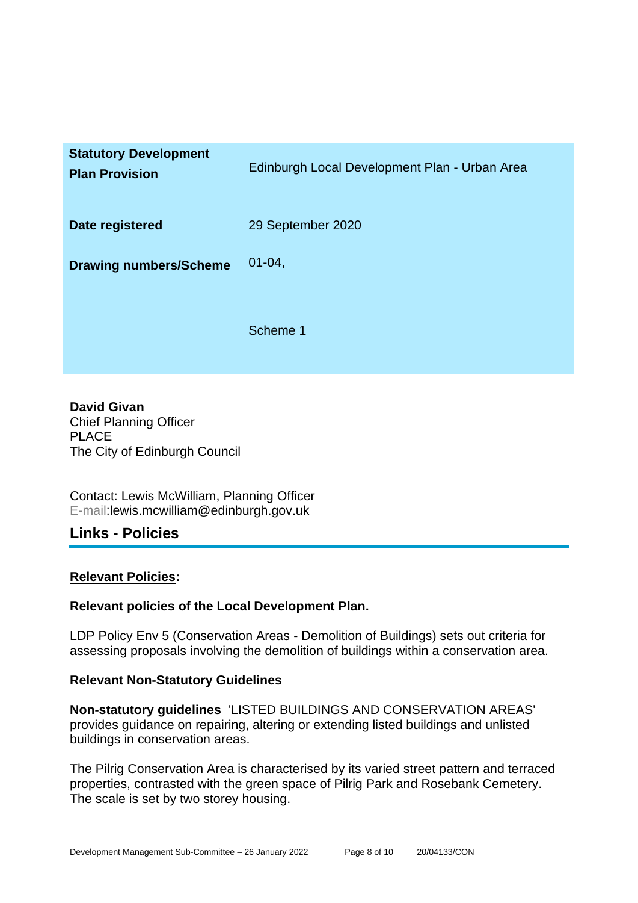| <b>Statutory Development</b><br><b>Plan Provision</b> | Edinburgh Local Development Plan - Urban Area |
|-------------------------------------------------------|-----------------------------------------------|
| Date registered                                       | 29 September 2020                             |
| <b>Drawing numbers/Scheme</b>                         | $01 - 04$ ,                                   |
|                                                       | Scheme 1                                      |

**David Givan** Chief Planning Officer PLACE The City of Edinburgh Council

Contact: Lewis McWilliam, Planning Officer E-mail:lewis.mcwilliam@edinburgh.gov.uk

# **Links - Policies**

#### **Relevant Policies:**

#### **Relevant policies of the Local Development Plan.**

LDP Policy Env 5 (Conservation Areas - Demolition of Buildings) sets out criteria for assessing proposals involving the demolition of buildings within a conservation area.

#### **Relevant Non-Statutory Guidelines**

**Non-statutory guidelines** 'LISTED BUILDINGS AND CONSERVATION AREAS' provides guidance on repairing, altering or extending listed buildings and unlisted buildings in conservation areas.

The Pilrig Conservation Area is characterised by its varied street pattern and terraced properties, contrasted with the green space of Pilrig Park and Rosebank Cemetery. The scale is set by two storey housing.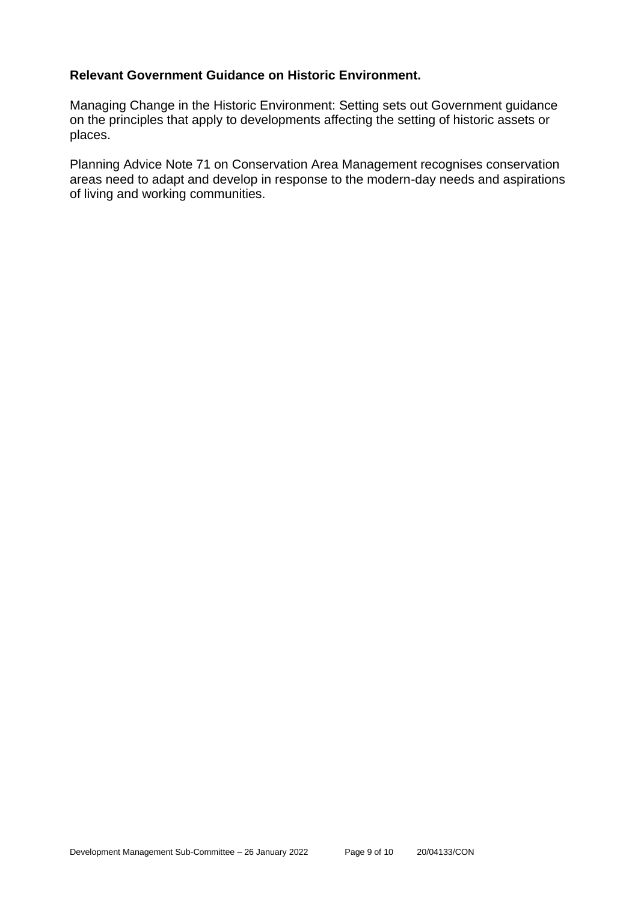#### **Relevant Government Guidance on Historic Environment.**

Managing Change in the Historic Environment: Setting sets out Government guidance on the principles that apply to developments affecting the setting of historic assets or places.

Planning Advice Note 71 on Conservation Area Management recognises conservation areas need to adapt and develop in response to the modern-day needs and aspirations of living and working communities.